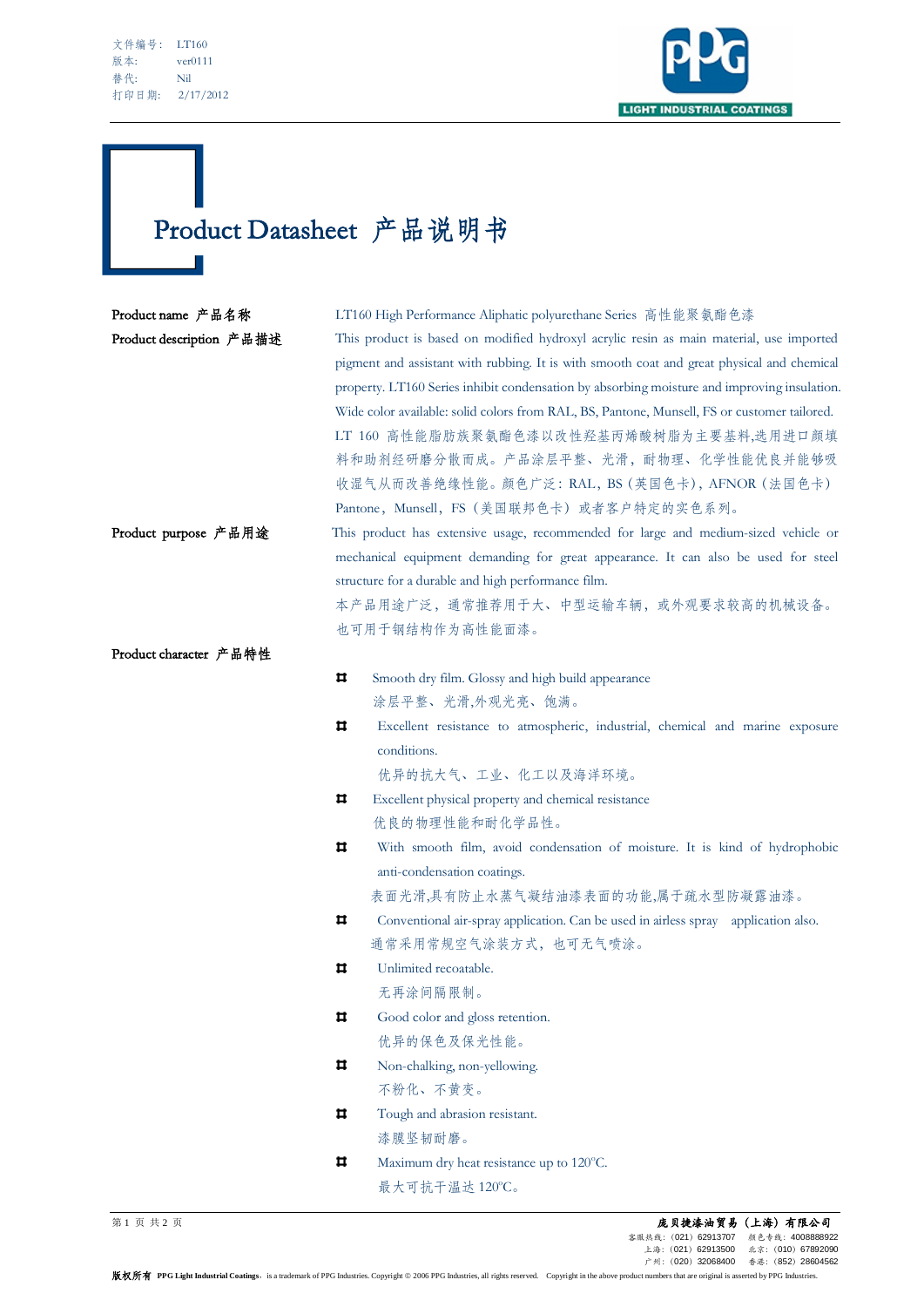$\sim$ 



## Product Datasheet 产品说明书

| Product name 产品名称        | LT160 High Performance Aliphatic polyurethane Series 高性能聚氨酯色漆                               |  |  |  |  |
|--------------------------|---------------------------------------------------------------------------------------------|--|--|--|--|
| Product description 产品描述 | This product is based on modified hydroxyl acrylic resin as main material, use imported     |  |  |  |  |
|                          | pigment and assistant with rubbing. It is with smooth coat and great physical and chemical  |  |  |  |  |
|                          | property. LT160 Series inhibit condensation by absorbing moisture and improving insulation. |  |  |  |  |
|                          | Wide color available: solid colors from RAL, BS, Pantone, Munsell, FS or customer tailored. |  |  |  |  |
|                          | LT 160 高性能脂肪族聚氨酯色漆以改性羟基丙烯酸树脂为主要基料,选用进口颜填                                                    |  |  |  |  |
|                          | 料和助剂经研磨分散而成。产品涂层平整、光滑,耐物理、化学性能优良并能够吸                                                        |  |  |  |  |
|                          | 收湿气从而改善绝缘性能。颜色广泛: RAL, BS (英国色卡), AFNOR (法国色卡)                                              |  |  |  |  |
|                          | Pantone, Munsell, FS (美国联邦色卡) 或者客户特定的实色系列。                                                  |  |  |  |  |
| Product purpose 产品用途     | This product has extensive usage, recommended for large and medium-sized vehicle or         |  |  |  |  |
|                          | mechanical equipment demanding for great appearance. It can also be used for steel          |  |  |  |  |
|                          | structure for a durable and high performance film.                                          |  |  |  |  |
|                          | 本产品用途广泛,通常推荐用于大、中型运输车辆,或外观要求较高的机械设备。                                                        |  |  |  |  |
|                          | 也可用于钢结构作为高性能面漆。                                                                             |  |  |  |  |
| Product character 产品特性   |                                                                                             |  |  |  |  |
|                          | Ħ<br>Smooth dry film. Glossy and high build appearance                                      |  |  |  |  |
|                          | 涂层平整、光滑,外观光亮、饱满。                                                                            |  |  |  |  |
|                          | Ħ<br>Excellent resistance to atmospheric, industrial, chemical and marine exposure          |  |  |  |  |
|                          | conditions.                                                                                 |  |  |  |  |
|                          | 优异的抗大气、工业、化工以及海洋环境。                                                                         |  |  |  |  |
|                          | Ħ<br>Excellent physical property and chemical resistance                                    |  |  |  |  |
|                          | 优良的物理性能和耐化学品性。                                                                              |  |  |  |  |
|                          | Ħ<br>With smooth film, avoid condensation of moisture. It is kind of hydrophobic            |  |  |  |  |
|                          | anti-condensation coatings.                                                                 |  |  |  |  |
|                          | 表面光滑,具有防止水蒸气凝结油漆表面的功能,属于疏水型防凝露油漆。                                                           |  |  |  |  |
|                          | Ħ<br>Conventional air-spray application. Can be used in airless spray application also.     |  |  |  |  |
|                          | 通常采用常规空气涂装方式, 也可无气喷涂。                                                                       |  |  |  |  |
|                          | Unlimited recoatable.<br>ᄇ                                                                  |  |  |  |  |
|                          | 无再涂间隔限制。                                                                                    |  |  |  |  |
|                          | Ħ<br>Good color and gloss retention.                                                        |  |  |  |  |
|                          | 优异的保色及保光性能。                                                                                 |  |  |  |  |
|                          | ᄇ<br>Non-chalking, non-yellowing.                                                           |  |  |  |  |
|                          | 不粉化、不黄变。                                                                                    |  |  |  |  |
|                          | Ħ.<br>Tough and abrasion resistant.                                                         |  |  |  |  |
|                          | 漆膜坚韧耐磨。                                                                                     |  |  |  |  |
|                          | Maximum dry heat resistance up to 120°C.<br>ц                                               |  |  |  |  |
|                          | 最大可抗干温达 120°C。                                                                              |  |  |  |  |